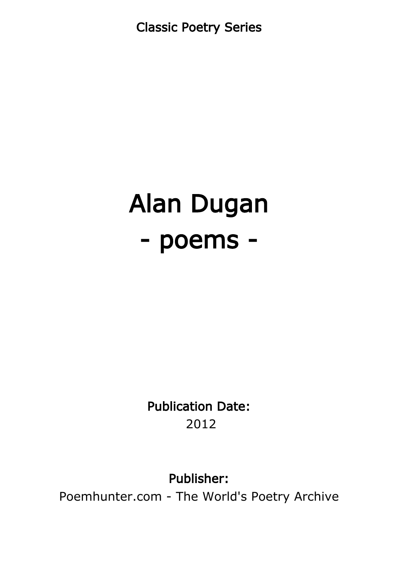Classic Poetry Series

# Alan Dugan - poems -

Publication Date: 2012

Publisher:

Poemhunter.com - The World's Poetry Archive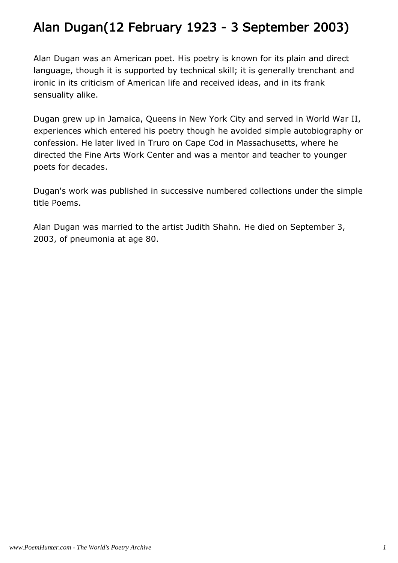# Alan Dugan(12 February 1923 - 3 September 2003)

Alan Dugan was an American poet. His poetry is known for its plain and direct language, though it is supported by technical skill; it is generally trenchant and ironic in its criticism of American life and received ideas, and in its frank sensuality alike.

Dugan grew up in Jamaica, Queens in New York City and served in World War II, experiences which entered his poetry though he avoided simple autobiography or confession. He later lived in Truro on Cape Cod in Massachusetts, where he directed the Fine Arts Work Center and was a mentor and teacher to younger poets for decades.

Dugan's work was published in successive numbered collections under the simple title Poems.

Alan Dugan was married to the artist Judith Shahn. He died on September 3, 2003, of pneumonia at age 80.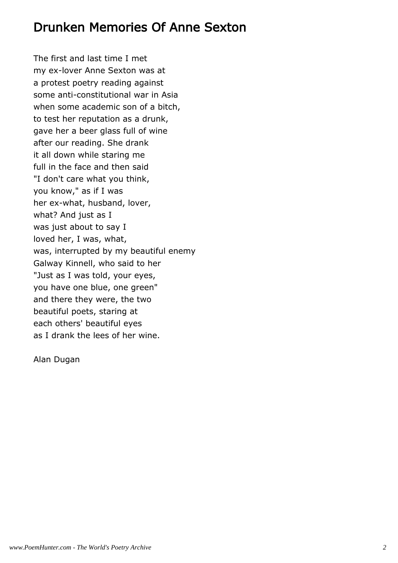## Drunken Memories Of Anne Sexton

The first and last time I met my ex-lover Anne Sexton was at a protest poetry reading against some anti-constitutional war in Asia when some academic son of a bitch, to test her reputation as a drunk, gave her a beer glass full of wine after our reading. She drank it all down while staring me full in the face and then said "I don't care what you think, you know," as if I was her ex-what, husband, lover, what? And just as I was just about to say I loved her, I was, what, was, interrupted by my beautiful enemy Galway Kinnell, who said to her "Just as I was told, your eyes, you have one blue, one green" and there they were, the two beautiful poets, staring at each others' beautiful eyes as I drank the lees of her wine.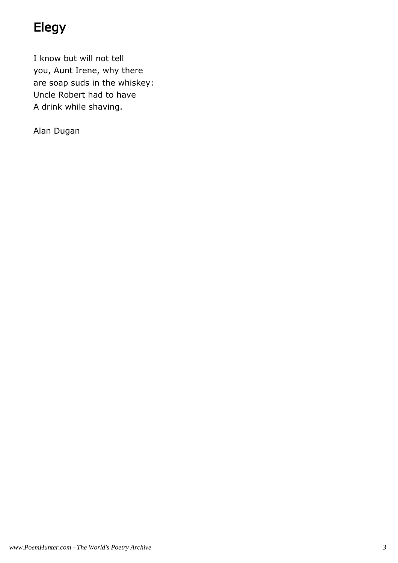# Elegy

I know but will not tell you, Aunt Irene, why there are soap suds in the whiskey: Uncle Robert had to have A drink while shaving.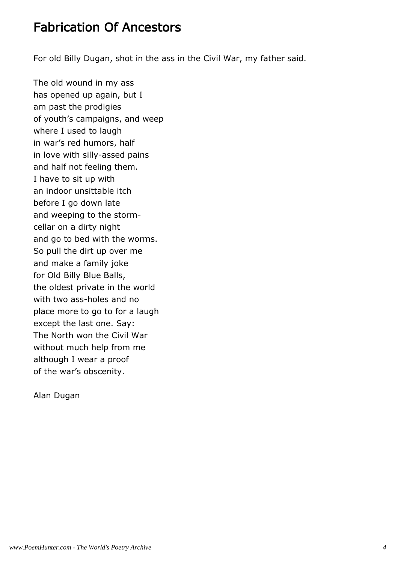# Fabrication Of Ancestors

For old Billy Dugan, shot in the ass in the Civil War, my father said.

The old wound in my ass has opened up again, but I am past the prodigies of youth's campaigns, and weep where I used to laugh in war's red humors, half in love with silly-assed pains and half not feeling them. I have to sit up with an indoor unsittable itch before I go down late and weeping to the stormcellar on a dirty night and go to bed with the worms. So pull the dirt up over me and make a family joke for Old Billy Blue Balls, the oldest private in the world with two ass-holes and no place more to go to for a laugh except the last one. Say: The North won the Civil War without much help from me although I wear a proof of the war's obscenity.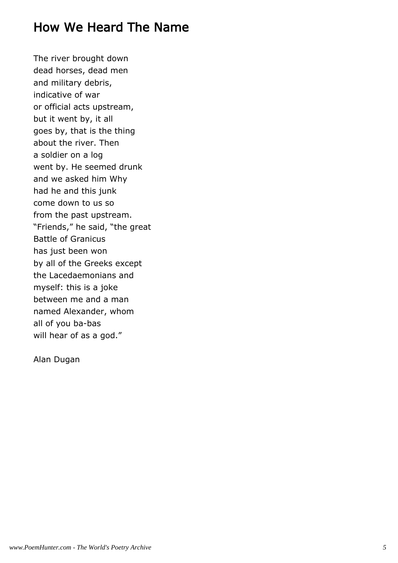# How We Heard The Name

The river brought down dead horses, dead men and military debris, indicative of war or official acts upstream, but it went by, it all goes by, that is the thing about the river. Then a soldier on a log went by. He seemed drunk and we asked him Why had he and this junk come down to us so from the past upstream. "Friends," he said, "the great Battle of Granicus has just been won by all of the Greeks except the Lacedaemonians and myself: this is a joke between me and a man named Alexander, whom all of you ba-bas will hear of as a god."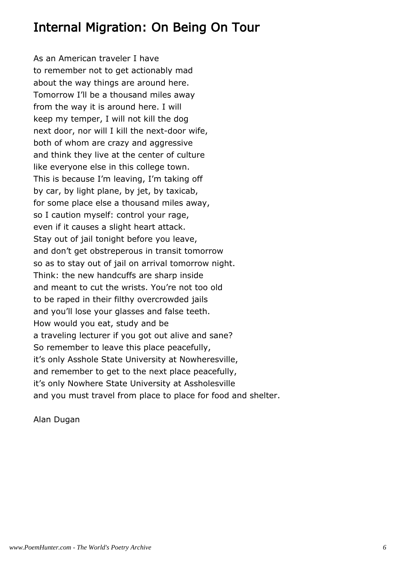# Internal Migration: On Being On Tour

As an American traveler I have to remember not to get actionably mad about the way things are around here. Tomorrow I'll be a thousand miles away from the way it is around here. I will keep my temper, I will not kill the dog next door, nor will I kill the next-door wife, both of whom are crazy and aggressive and think they live at the center of culture like everyone else in this college town. This is because I'm leaving, I'm taking off by car, by light plane, by jet, by taxicab, for some place else a thousand miles away, so I caution myself: control your rage, even if it causes a slight heart attack. Stay out of jail tonight before you leave, and don't get obstreperous in transit tomorrow so as to stay out of jail on arrival tomorrow night. Think: the new handcuffs are sharp inside and meant to cut the wrists. You're not too old to be raped in their filthy overcrowded jails and you'll lose your glasses and false teeth. How would you eat, study and be a traveling lecturer if you got out alive and sane? So remember to leave this place peacefully, it's only Asshole State University at Nowheresville, and remember to get to the next place peacefully, it's only Nowhere State University at Assholesville and you must travel from place to place for food and shelter.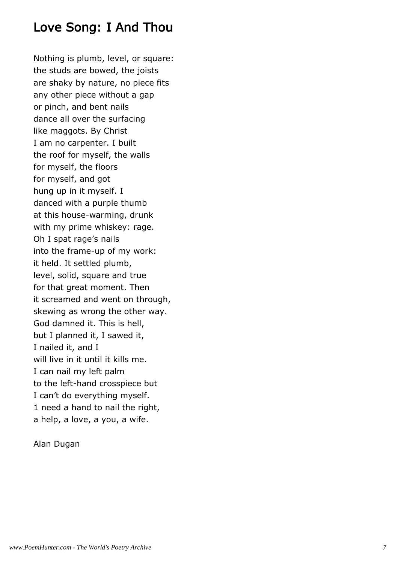# Love Song: I And Thou

Nothing is plumb, level, or square: the studs are bowed, the joists are shaky by nature, no piece fits any other piece without a gap or pinch, and bent nails dance all over the surfacing like maggots. By Christ I am no carpenter. I built the roof for myself, the walls for myself, the floors for myself, and got hung up in it myself. I danced with a purple thumb at this house-warming, drunk with my prime whiskey: rage. Oh I spat rage's nails into the frame-up of my work: it held. It settled plumb, level, solid, square and true for that great moment. Then it screamed and went on through, skewing as wrong the other way. God damned it. This is hell, but I planned it, I sawed it, I nailed it, and I will live in it until it kills me. I can nail my left palm to the left-hand crosspiece but I can't do everything myself. 1 need a hand to nail the right, a help, a love, a you, a wife.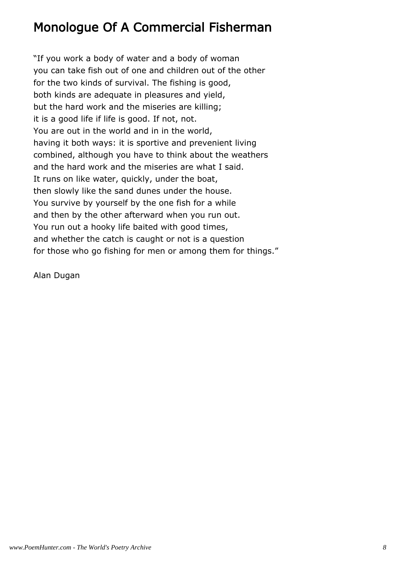# Monologue Of A Commercial Fisherman

"If you work a body of water and a body of woman you can take fish out of one and children out of the other for the two kinds of survival. The fishing is good, both kinds are adequate in pleasures and yield, but the hard work and the miseries are killing; it is a good life if life is good. If not, not. You are out in the world and in in the world, having it both ways: it is sportive and prevenient living combined, although you have to think about the weathers and the hard work and the miseries are what I said. It runs on like water, quickly, under the boat, then slowly like the sand dunes under the house. You survive by yourself by the one fish for a while and then by the other afterward when you run out. You run out a hooky life baited with good times, and whether the catch is caught or not is a question for those who go fishing for men or among them for things."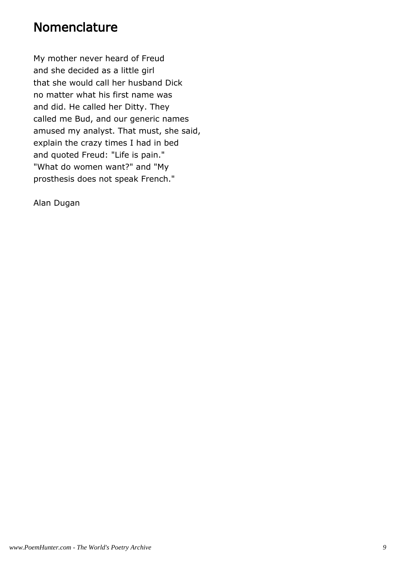#### Nomenclature

My mother never heard of Freud and she decided as a little girl that she would call her husband Dick no matter what his first name was and did. He called her Ditty. They called me Bud, and our generic names amused my analyst. That must, she said, explain the crazy times I had in bed and quoted Freud: "Life is pain." "What do women want?" and "My prosthesis does not speak French."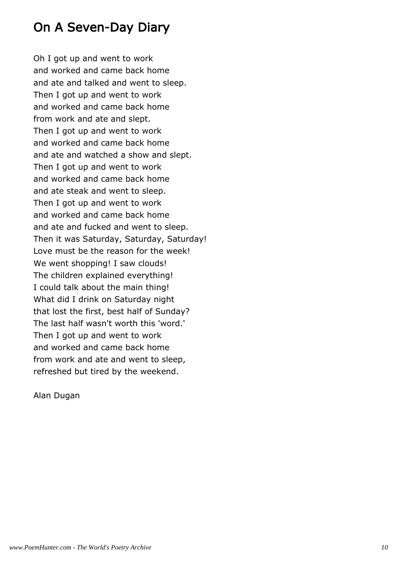# On A Seven-Day Diary

Oh I got up and went to work and worked and came back home and ate and talked and went to sleep. Then I got up and went to work and worked and came back home from work and ate and slept. Then I got up and went to work and worked and came back home and ate and watched a show and slept. Then I got up and went to work and worked and came back home and ate steak and went to sleep. Then I got up and went to work and worked and came back home and ate and fucked and went to sleep. Then it was Saturday, Saturday, Saturday! Love must be the reason for the week! We went shopping! I saw clouds! The children explained everything! I could talk about the main thing! What did I drink on Saturday night that lost the first, best half of Sunday? The last half wasn't worth this 'word.' Then I got up and went to work and worked and came back home from work and ate and went to sleep, refreshed but tired by the weekend.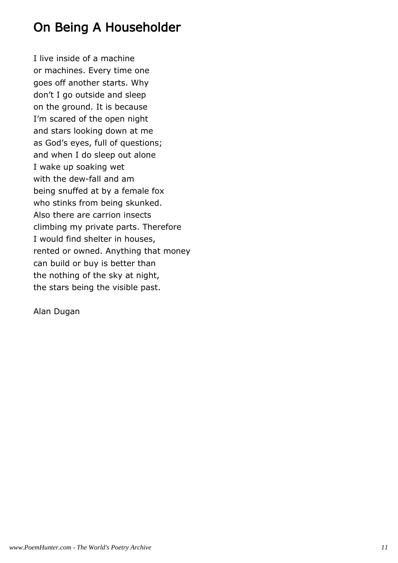# On Being A Householder

I live inside of a machine or machines. Every time one goes off another starts. Why don't I go outside and sleep on the ground. It is because I'm scared of the open night and stars looking down at me as God's eyes, full of questions; and when I do sleep out alone I wake up soaking wet with the dew-fall and am being snuffed at by a female fox who stinks from being skunked. Also there are carrion insects climbing my private parts. Therefore I would find shelter in houses, rented or owned. Anything that money can build or buy is better than the nothing of the sky at night, the stars being the visible past.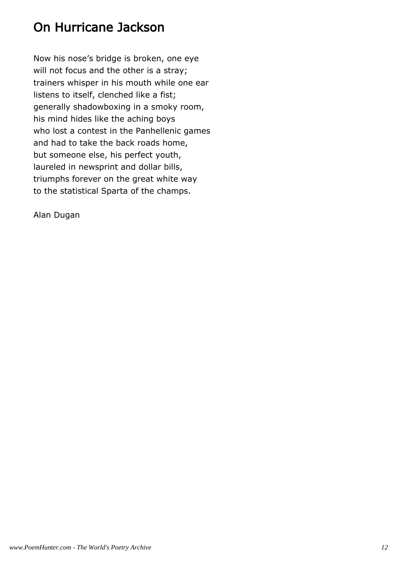# On Hurricane Jackson

Now his nose's bridge is broken, one eye will not focus and the other is a stray; trainers whisper in his mouth while one ear listens to itself, clenched like a fist; generally shadowboxing in a smoky room, his mind hides like the aching boys who lost a contest in the Panhellenic games and had to take the back roads home, but someone else, his perfect youth, laureled in newsprint and dollar bills, triumphs forever on the great white way to the statistical Sparta of the champs.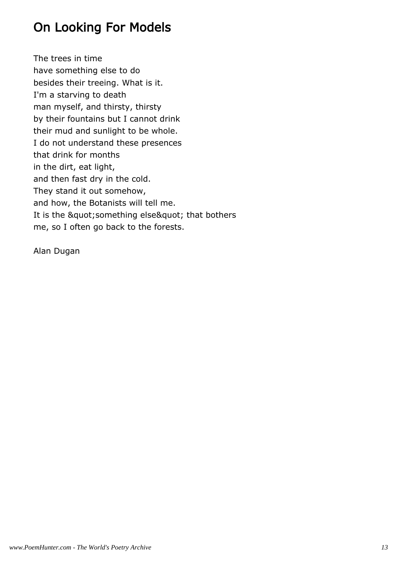# On Looking For Models

The trees in time have something else to do besides their treeing. What is it. I'm a starving to death man myself, and thirsty, thirsty by their fountains but I cannot drink their mud and sunlight to be whole. I do not understand these presences that drink for months in the dirt, eat light, and then fast dry in the cold. They stand it out somehow, and how, the Botanists will tell me. It is the " something else" that bothers me, so I often go back to the forests.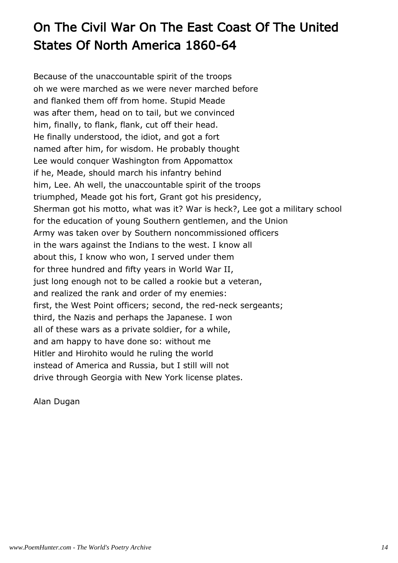# On The Civil War On The East Coast Of The United States Of North America 1860-64

Because of the unaccountable spirit of the troops oh we were marched as we were never marched before and flanked them off from home. Stupid Meade was after them, head on to tail, but we convinced him, finally, to flank, flank, cut off their head. He finally understood, the idiot, and got a fort named after him, for wisdom. He probably thought Lee would conquer Washington from Appomattox if he, Meade, should march his infantry behind him, Lee. Ah well, the unaccountable spirit of the troops triumphed, Meade got his fort, Grant got his presidency, Sherman got his motto, what was it? War is heck?, Lee got a military school for the education of young Southern gentlemen, and the Union Army was taken over by Southern noncommissioned officers in the wars against the Indians to the west. I know all about this, I know who won, I served under them for three hundred and fifty years in World War II, just long enough not to be called a rookie but a veteran, and realized the rank and order of my enemies: first, the West Point officers; second, the red-neck sergeants; third, the Nazis and perhaps the Japanese. I won all of these wars as a private soldier, for a while, and am happy to have done so: without me Hitler and Hirohito would he ruling the world instead of America and Russia, but I still will not drive through Georgia with New York license plates.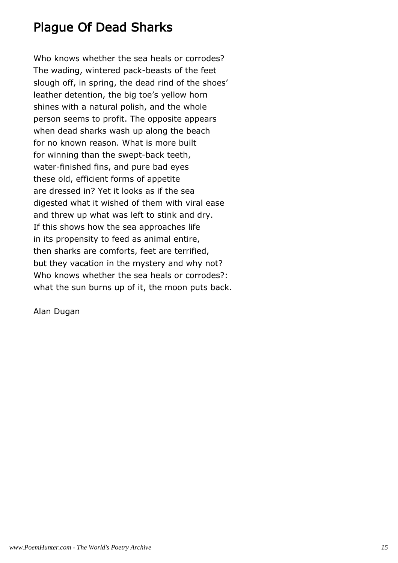# Plague Of Dead Sharks

Who knows whether the sea heals or corrodes? The wading, wintered pack-beasts of the feet slough off, in spring, the dead rind of the shoes' leather detention, the big toe's yellow horn shines with a natural polish, and the whole person seems to profit. The opposite appears when dead sharks wash up along the beach for no known reason. What is more built for winning than the swept-back teeth, water-finished fins, and pure bad eyes these old, efficient forms of appetite are dressed in? Yet it looks as if the sea digested what it wished of them with viral ease and threw up what was left to stink and dry. If this shows how the sea approaches life in its propensity to feed as animal entire, then sharks are comforts, feet are terrified, but they vacation in the mystery and why not? Who knows whether the sea heals or corrodes?: what the sun burns up of it, the moon puts back.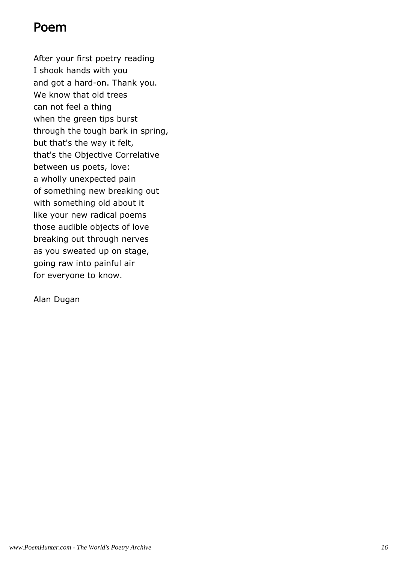#### Poem

After your first poetry reading I shook hands with you and got a hard-on. Thank you. We know that old trees can not feel a thing when the green tips burst through the tough bark in spring, but that's the way it felt, that's the Objective Correlative between us poets, love: a wholly unexpected pain of something new breaking out with something old about it like your new radical poems those audible objects of love breaking out through nerves as you sweated up on stage, going raw into painful air for everyone to know.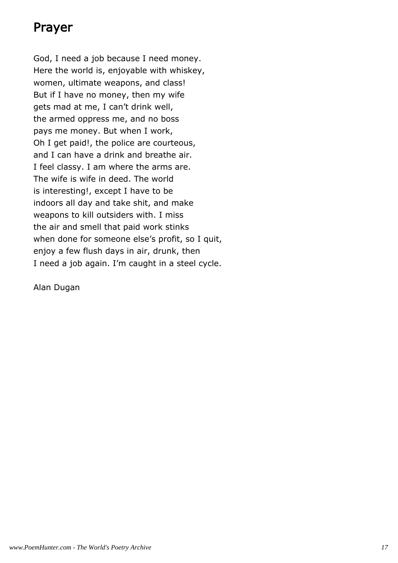# Prayer

God, I need a job because I need money. Here the world is, enjoyable with whiskey, women, ultimate weapons, and class! But if I have no money, then my wife gets mad at me, I can't drink well, the armed oppress me, and no boss pays me money. But when I work, Oh I get paid!, the police are courteous, and I can have a drink and breathe air. I feel classy. I am where the arms are. The wife is wife in deed. The world is interesting!, except I have to be indoors all day and take shit, and make weapons to kill outsiders with. I miss the air and smell that paid work stinks when done for someone else's profit, so I quit, enjoy a few flush days in air, drunk, then I need a job again. I'm caught in a steel cycle.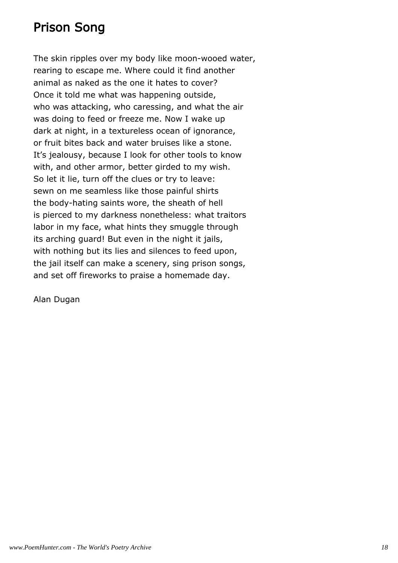# Prison Song

The skin ripples over my body like moon-wooed water, rearing to escape me. Where could it find another animal as naked as the one it hates to cover? Once it told me what was happening outside, who was attacking, who caressing, and what the air was doing to feed or freeze me. Now I wake up dark at night, in a textureless ocean of ignorance, or fruit bites back and water bruises like a stone. It's jealousy, because I look for other tools to know with, and other armor, better girded to my wish. So let it lie, turn off the clues or try to leave: sewn on me seamless like those painful shirts the body-hating saints wore, the sheath of hell is pierced to my darkness nonetheless: what traitors labor in my face, what hints they smuggle through its arching guard! But even in the night it jails, with nothing but its lies and silences to feed upon, the jail itself can make a scenery, sing prison songs, and set off fireworks to praise a homemade day.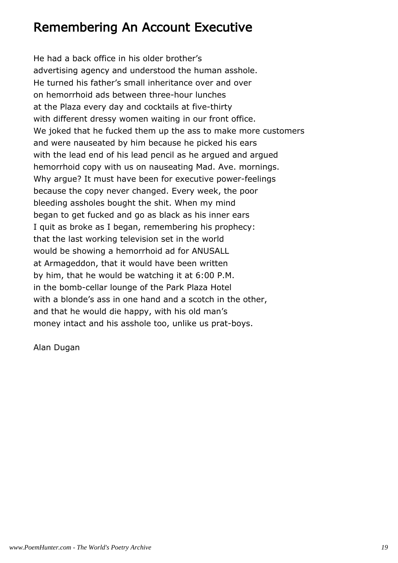# Remembering An Account Executive

He had a back office in his older brother's advertising agency and understood the human asshole. He turned his father's small inheritance over and over on hemorrhoid ads between three-hour lunches at the Plaza every day and cocktails at five-thirty with different dressy women waiting in our front office. We joked that he fucked them up the ass to make more customers and were nauseated by him because he picked his ears with the lead end of his lead pencil as he argued and argued hemorrhoid copy with us on nauseating Mad. Ave. mornings. Why argue? It must have been for executive power-feelings because the copy never changed. Every week, the poor bleeding assholes bought the shit. When my mind began to get fucked and go as black as his inner ears I quit as broke as I began, remembering his prophecy: that the last working television set in the world would be showing a hemorrhoid ad for ANUSALL at Armageddon, that it would have been written by him, that he would be watching it at 6:00 P.M. in the bomb-cellar lounge of the Park Plaza Hotel with a blonde's ass in one hand and a scotch in the other, and that he would die happy, with his old man's money intact and his asshole too, unlike us prat-boys.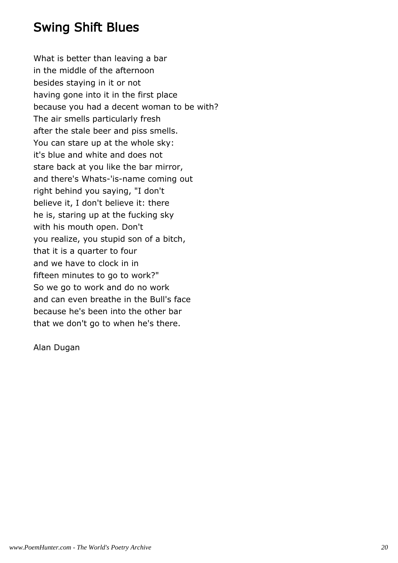# Swing Shift Blues

What is better than leaving a bar in the middle of the afternoon besides staying in it or not having gone into it in the first place because you had a decent woman to be with? The air smells particularly fresh after the stale beer and piss smells. You can stare up at the whole sky: it's blue and white and does not stare back at you like the bar mirror, and there's Whats-'is-name coming out right behind you saying, "I don't believe it, I don't believe it: there he is, staring up at the fucking sky with his mouth open. Don't you realize, you stupid son of a bitch, that it is a quarter to four and we have to clock in in fifteen minutes to go to work?" So we go to work and do no work and can even breathe in the Bull's face because he's been into the other bar that we don't go to when he's there.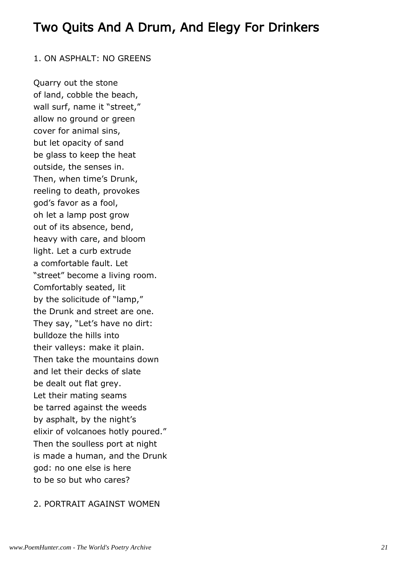# Two Quits And A Drum, And Elegy For Drinkers

#### 1. ON ASPHALT: NO GREENS

Quarry out the stone of land, cobble the beach, wall surf, name it "street," allow no ground or green cover for animal sins, but let opacity of sand be glass to keep the heat outside, the senses in. Then, when time's Drunk, reeling to death, provokes god's favor as a fool, oh let a lamp post grow out of its absence, bend, heavy with care, and bloom light. Let a curb extrude a comfortable fault. Let "street" become a living room. Comfortably seated, lit by the solicitude of "lamp," the Drunk and street are one. They say, "Let's have no dirt: bulldoze the hills into their valleys: make it plain. Then take the mountains down and let their decks of slate be dealt out flat grey. Let their mating seams be tarred against the weeds by asphalt, by the night's elixir of volcanoes hotly poured." Then the soulless port at night is made a human, and the Drunk god: no one else is here to be so but who cares?

#### 2. PORTRAIT AGAINST WOMEN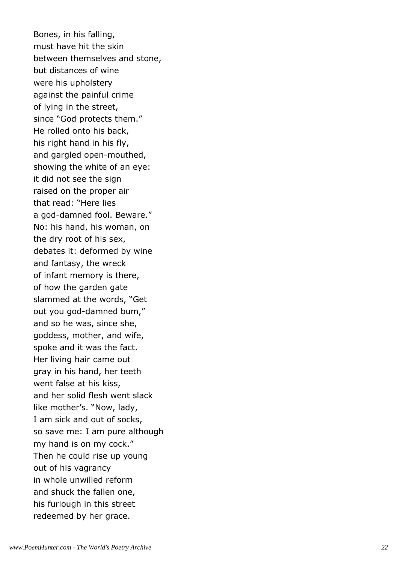Bones, in his falling, must have hit the skin between themselves and stone, but distances of wine were his upholstery against the painful crime of lying in the street, since "God protects them." He rolled onto his back, his right hand in his fly, and gargled open-mouthed, showing the white of an eye: it did not see the sign raised on the proper air that read: "Here lies a god-damned fool. Beware." No: his hand, his woman, on the dry root of his sex, debates it: deformed by wine and fantasy, the wreck of infant memory is there, of how the garden gate slammed at the words, "Get out you god-damned bum," and so he was, since she, goddess, mother, and wife, spoke and it was the fact. Her living hair came out gray in his hand, her teeth went false at his kiss, and her solid flesh went slack like mother's. "Now, lady, I am sick and out of socks, so save me: I am pure although my hand is on my cock." Then he could rise up young out of his vagrancy in whole unwilled reform and shuck the fallen one, his furlough in this street redeemed by her grace.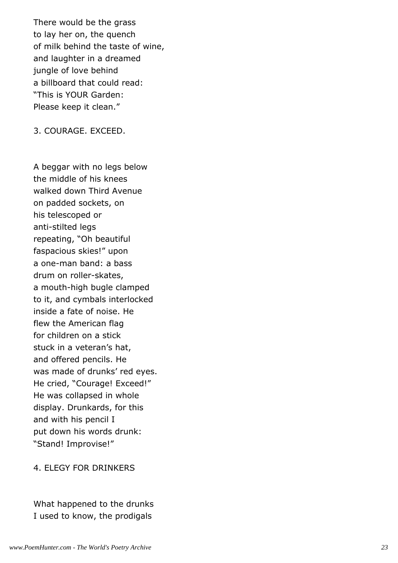There would be the grass to lay her on, the quench of milk behind the taste of wine, and laughter in a dreamed jungle of love behind a billboard that could read: "This is YOUR Garden: Please keep it clean."

3. COURAGE. EXCEED.

A beggar with no legs below the middle of his knees walked down Third Avenue on padded sockets, on his telescoped or anti-stilted legs repeating, "Oh beautiful faspacious skies!" upon a one-man band: a bass drum on roller-skates, a mouth-high bugle clamped to it, and cymbals interlocked inside a fate of noise. He flew the American flag for children on a stick stuck in a veteran's hat, and offered pencils. He was made of drunks' red eyes. He cried, "Courage! Exceed!" He was collapsed in whole display. Drunkards, for this and with his pencil I put down his words drunk: "Stand! Improvise!"

4. ELEGY FOR DRINKERS

What happened to the drunks I used to know, the prodigals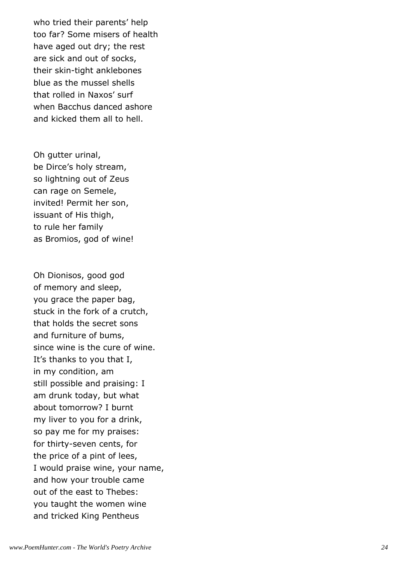who tried their parents' help too far? Some misers of health have aged out dry; the rest are sick and out of socks, their skin-tight anklebones blue as the mussel shells that rolled in Naxos' surf when Bacchus danced ashore and kicked them all to hell.

Oh gutter urinal, be Dirce's holy stream, so lightning out of Zeus can rage on Semele, invited! Permit her son, issuant of His thigh, to rule her family as Bromios, god of wine!

Oh Dionisos, good god of memory and sleep, you grace the paper bag, stuck in the fork of a crutch, that holds the secret sons and furniture of bums, since wine is the cure of wine. It's thanks to you that I, in my condition, am still possible and praising: I am drunk today, but what about tomorrow? I burnt my liver to you for a drink, so pay me for my praises: for thirty-seven cents, for the price of a pint of lees, I would praise wine, your name, and how your trouble came out of the east to Thebes: you taught the women wine and tricked King Pentheus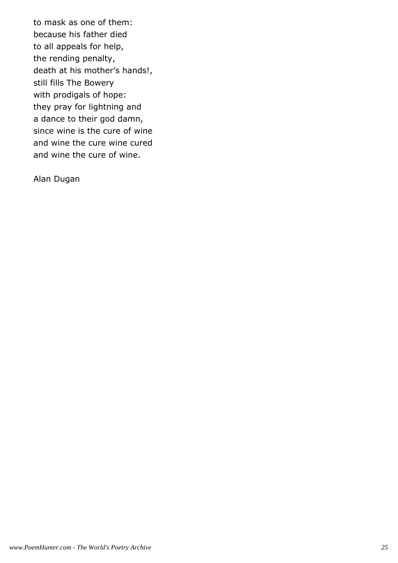to mask as one of them: because his father died to all appeals for help, the rending penalty, death at his mother's hands!, still fills The Bowery with prodigals of hope: they pray for lightning and a dance to their god damn, since wine is the cure of wine and wine the cure wine cured and wine the cure of wine.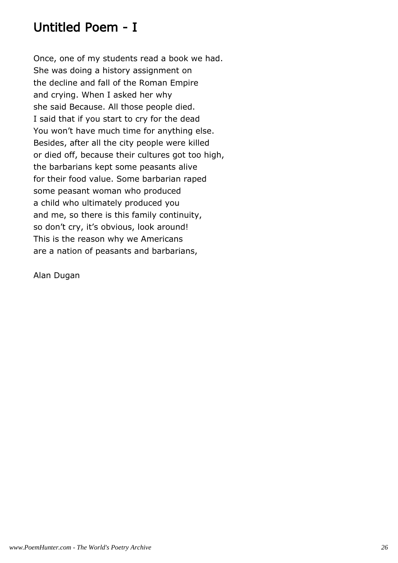# Untitled Poem - I

Once, one of my students read a book we had. She was doing a history assignment on the decline and fall of the Roman Empire and crying. When I asked her why she said Because. All those people died. I said that if you start to cry for the dead You won't have much time for anything else. Besides, after all the city people were killed or died off, because their cultures got too high, the barbarians kept some peasants alive for their food value. Some barbarian raped some peasant woman who produced a child who ultimately produced you and me, so there is this family continuity, so don't cry, it's obvious, look around! This is the reason why we Americans are a nation of peasants and barbarians,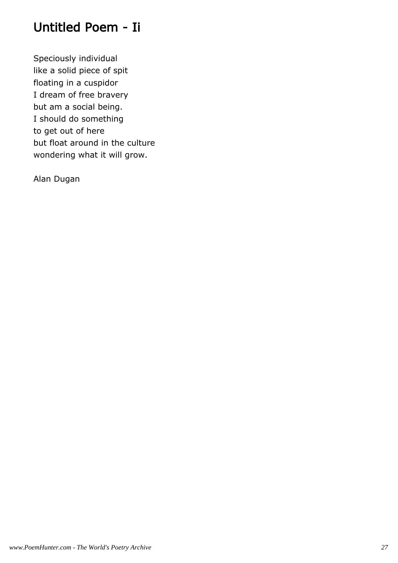# Untitled Poem - Ii

Speciously individual like a solid piece of spit floating in a cuspidor I dream of free bravery but am a social being. I should do something to get out of here but float around in the culture wondering what it will grow.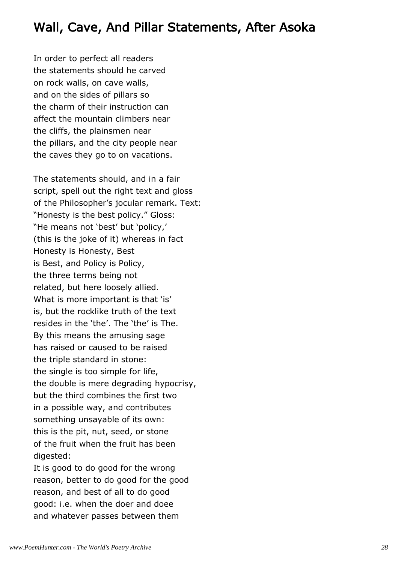# Wall, Cave, And Pillar Statements, After Asoka

In order to perfect all readers the statements should he carved on rock walls, on cave walls, and on the sides of pillars so the charm of their instruction can affect the mountain climbers near the cliffs, the plainsmen near the pillars, and the city people near the caves they go to on vacations.

The statements should, and in a fair script, spell out the right text and gloss of the Philosopher's jocular remark. Text: "Honesty is the best policy." Gloss: "He means not 'best' but 'policy,' (this is the joke of it) whereas in fact Honesty is Honesty, Best is Best, and Policy is Policy, the three terms being not related, but here loosely allied. What is more important is that 'is' is, but the rocklike truth of the text resides in the 'the'. The 'the' is The. By this means the amusing sage has raised or caused to be raised the triple standard in stone: the single is too simple for life, the double is mere degrading hypocrisy, but the third combines the first two in a possible way, and contributes something unsayable of its own: this is the pit, nut, seed, or stone of the fruit when the fruit has been digested:

It is good to do good for the wrong reason, better to do good for the good reason, and best of all to do good good: i.e. when the doer and doee and whatever passes between them